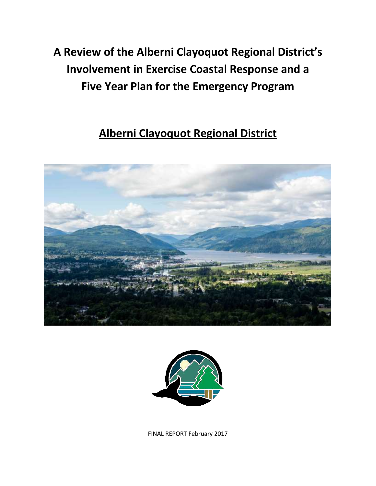# **A Review of the Alberni Clayoquot Regional District's Involvement in Exercise Coastal Response and a Five Year Plan for the Emergency Program**

# **Alberni Clayoquot Regional District**





FINAL REPORT February 2017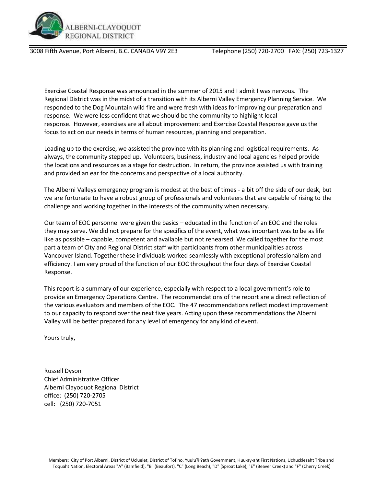

3008 Fifth Avenue, Port Alberni, B.C. CANADA V9Y 2E3 Telephone (250) 720-2700 FAX: (250) 723-1327

Exercise Coastal Response was announced in the summer of 2015 and I admit I was nervous. The Regional District was in the midst of a transition with its Alberni Valley Emergency Planning Service. We responded to the Dog Mountain wild fire and were fresh with ideas for improving our preparation and response. We were less confident that we should be the community to highlight local response. However, exercises are all about improvement and Exercise Coastal Response gave us the focus to act on our needs in terms of human resources, planning and preparation.

Leading up to the exercise, we assisted the province with its planning and logistical requirements. As always, the community stepped up. Volunteers, business, industry and local agencies helped provide the locations and resources as a stage for destruction. In return, the province assisted us with training and provided an ear for the concerns and perspective of a local authority.

The Alberni Valleys emergency program is modest at the best of times - a bit off the side of our desk, but we are fortunate to have a robust group of professionals and volunteers that are capable of rising to the challenge and working together in the interests of the community when necessary.

Our team of EOC personnel were given the basics – educated in the function of an EOC and the roles they may serve. We did not prepare for the specifics of the event, what was important was to be as life like as possible – capable, competent and available but not rehearsed. We called together for the most part a team of City and Regional District staff with participants from other municipalities across Vancouver Island. Together these individuals worked seamlessly with exceptional professionalism and efficiency. I am very proud of the function of our EOC throughout the four days of Exercise Coastal Response.

This report is a summary of our experience, especially with respect to a local government's role to provide an Emergency Operations Centre. The recommendations of the report are a direct reflection of the various evaluators and members of the EOC. The 47 recommendations reflect modest improvement to our capacity to respond over the next five years. Acting upon these recommendations the Alberni Valley will be better prepared for any level of emergency for any kind of event.

Yours truly,

Russell Dyson Chief Administrative Officer Alberni Clayoquot Regional District office: (250) 720-2705 cell: (250) 720-7051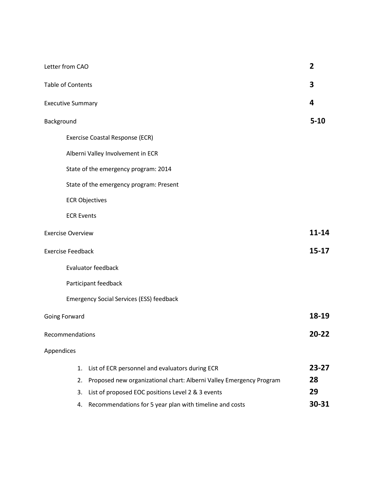| Letter from CAO          |                                                                     | $\overline{2}$ |
|--------------------------|---------------------------------------------------------------------|----------------|
| <b>Table of Contents</b> |                                                                     | 3              |
| <b>Executive Summary</b> |                                                                     | 4              |
| Background               |                                                                     | $5 - 10$       |
|                          | Exercise Coastal Response (ECR)                                     |                |
|                          | Alberni Valley Involvement in ECR                                   |                |
|                          | State of the emergency program: 2014                                |                |
|                          | State of the emergency program: Present                             |                |
|                          | <b>ECR Objectives</b>                                               |                |
| <b>ECR Events</b>        |                                                                     |                |
| <b>Exercise Overview</b> |                                                                     | $11 - 14$      |
| <b>Exercise Feedback</b> |                                                                     | $15 - 17$      |
|                          | Evaluator feedback                                                  |                |
|                          | Participant feedback                                                |                |
|                          | <b>Emergency Social Services (ESS) feedback</b>                     |                |
| Going Forward            |                                                                     | 18-19          |
| Recommendations          |                                                                     | 20-22          |
| Appendices               |                                                                     |                |
| 1.                       | List of ECR personnel and evaluators during ECR                     | 23-27          |
| 2.                       | Proposed new organizational chart: Alberni Valley Emergency Program | 28             |
| 3.                       | List of proposed EOC positions Level 2 & 3 events                   | 29             |
| 4.                       | Recommendations for 5 year plan with timeline and costs             | 30-31          |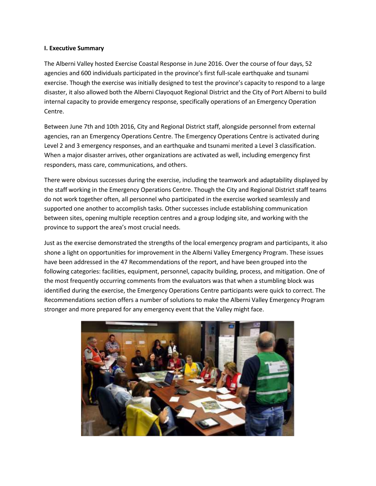#### **I. Executive Summary**

The Alberni Valley hosted Exercise Coastal Response in June 2016. Over the course of four days, 52 agencies and 600 individuals participated in the province's first full-scale earthquake and tsunami exercise. Though the exercise was initially designed to test the province's capacity to respond to a large disaster, it also allowed both the Alberni Clayoquot Regional District and the City of Port Alberni to build internal capacity to provide emergency response, specifically operations of an Emergency Operation Centre.

Between June 7th and 10th 2016, City and Regional District staff, alongside personnel from external agencies, ran an Emergency Operations Centre. The Emergency Operations Centre is activated during Level 2 and 3 emergency responses, and an earthquake and tsunami merited a Level 3 classification. When a major disaster arrives, other organizations are activated as well, including emergency first responders, mass care, communications, and others.

There were obvious successes during the exercise, including the teamwork and adaptability displayed by the staff working in the Emergency Operations Centre. Though the City and Regional District staff teams do not work together often, all personnel who participated in the exercise worked seamlessly and supported one another to accomplish tasks. Other successes include establishing communication between sites, opening multiple reception centres and a group lodging site, and working with the province to support the area's most crucial needs.

Just as the exercise demonstrated the strengths of the local emergency program and participants, it also shone a light on opportunities for improvement in the Alberni Valley Emergency Program. These issues have been addressed in the 47 Recommendations of the report, and have been grouped into the following categories: facilities, equipment, personnel, capacity building, process, and mitigation. One of the most frequently occurring comments from the evaluators was that when a stumbling block was identified during the exercise, the Emergency Operations Centre participants were quick to correct. The Recommendations section offers a number of solutions to make the Alberni Valley Emergency Program stronger and more prepared for any emergency event that the Valley might face.

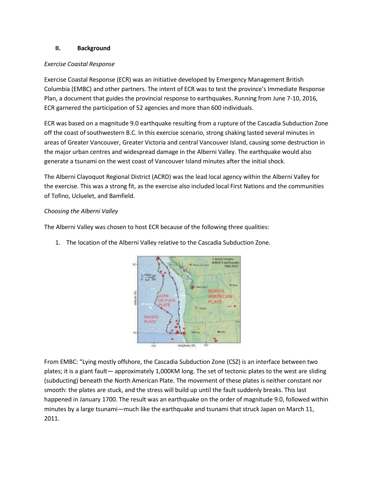#### **II. Background**

#### *Exercise Coastal Response*

Exercise Coastal Response (ECR) was an initiative developed by Emergency Management British Columbia (EMBC) and other partners. The intent of ECR was to test the province's Immediate Response Plan, a document that guides the provincial response to earthquakes. Running from June 7-10, 2016, ECR garnered the participation of 52 agencies and more than 600 individuals.

ECR was based on a magnitude 9.0 earthquake resulting from a rupture of the Cascadia Subduction Zone off the coast of southwestern B.C. In this exercise scenario, strong shaking lasted several minutes in areas of Greater Vancouver, Greater Victoria and central Vancouver Island, causing some destruction in the major urban centres and widespread damage in the Alberni Valley. The earthquake would also generate a tsunami on the west coast of Vancouver Island minutes after the initial shock.

The Alberni Clayoquot Regional District (ACRD) was the lead local agency within the Alberni Valley for the exercise. This was a strong fit, as the exercise also included local First Nations and the communities of Tofino, Ucluelet, and Bamfield.

#### *Choosing the Alberni Valley*

The Alberni Valley was chosen to host ECR because of the following three qualities:

1. The location of the Alberni Valley relative to the Cascadia Subduction Zone.



From EMBC: "Lying mostly offshore, the Cascadia Subduction Zone (CSZ) is an interface between two plates; it is a giant fault— approximately 1,000KM long. The set of tectonic plates to the west are sliding (subducting) beneath the North American Plate. The movement of these plates is neither constant nor smooth: the plates are stuck, and the stress will build up until the fault suddenly breaks. This last happened in January 1700. The result was an earthquake on the order of magnitude 9.0, followed within minutes by a large tsunami—much like the earthquake and tsunami that struck Japan on March 11, 2011.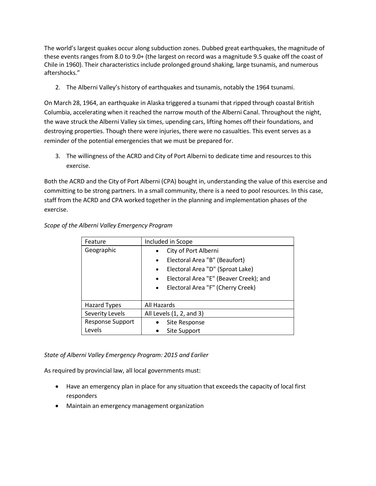The world's largest quakes occur along subduction zones. Dubbed great earthquakes, the magnitude of these events ranges from 8.0 to 9.0+ (the largest on record was a magnitude 9.5 quake off the coast of Chile in 1960). Their characteristics include prolonged ground shaking, large tsunamis, and numerous aftershocks."

2. The Alberni Valley's history of earthquakes and tsunamis, notably the 1964 tsunami.

On March 28, 1964, an earthquake in Alaska triggered a tsunami that ripped through coastal British Columbia, accelerating when it reached the narrow mouth of the Alberni Canal. Throughout the night, the wave struck the Alberni Valley six times, upending cars, lifting homes off their foundations, and destroying properties. Though there were injuries, there were no casualties. This event serves as a reminder of the potential emergencies that we must be prepared for.

3. The willingness of the ACRD and City of Port Alberni to dedicate time and resources to this exercise.

Both the ACRD and the City of Port Alberni (CPA) bought in, understanding the value of this exercise and committing to be strong partners. In a small community, there is a need to pool resources. In this case, staff from the ACRD and CPA worked together in the planning and implementation phases of the exercise.

| Feature                 | Included in Scope                                   |
|-------------------------|-----------------------------------------------------|
| Geographic              | City of Port Alberni<br>$\bullet$                   |
|                         | Electoral Area "B" (Beaufort)<br>$\bullet$          |
|                         | Electoral Area "D" (Sproat Lake)<br>$\bullet$       |
|                         | Electoral Area "E" (Beaver Creek); and<br>$\bullet$ |
|                         | Electoral Area "F" (Cherry Creek)<br>$\bullet$      |
|                         |                                                     |
| <b>Hazard Types</b>     | All Hazards                                         |
| Severity Levels         | All Levels (1, 2, and 3)                            |
| <b>Response Support</b> | Site Response                                       |
| Levels                  | Site Support                                        |

*Scope of the Alberni Valley Emergency Program*

#### *State of Alberni Valley Emergency Program: 2015 and Earlier*

As required by provincial law, all local governments must:

- Have an emergency plan in place for any situation that exceeds the capacity of local first responders
- Maintain an emergency management organization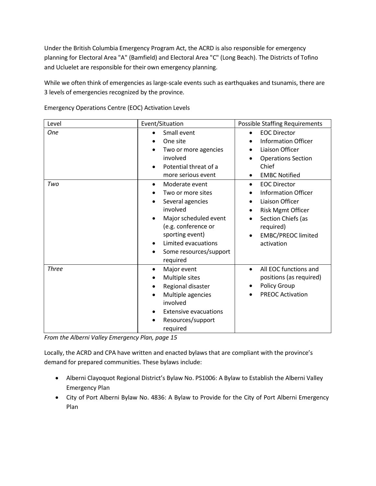Under the British Columbia Emergency Program Act, the ACRD is also responsible for emergency planning for Electoral Area "A" (Bamfield) and Electoral Area "C" (Long Beach). The Districts of Tofino and Ucluelet are responsible for their own emergency planning.

While we often think of emergencies as large-scale events such as earthquakes and tsunamis, there are 3 levels of emergencies recognized by the province.

| Level        | Event/Situation                                                                                                                                                                                                                    | <b>Possible Staffing Requirements</b>                                                                                                                                                |
|--------------|------------------------------------------------------------------------------------------------------------------------------------------------------------------------------------------------------------------------------------|--------------------------------------------------------------------------------------------------------------------------------------------------------------------------------------|
| <b>One</b>   | Small event<br>One site<br>Two or more agencies<br>involved<br>Potential threat of a<br>more serious event                                                                                                                         | <b>EOC Director</b><br><b>Information Officer</b><br>Liaison Officer<br><b>Operations Section</b><br>Chief<br><b>EMBC Notified</b>                                                   |
| Two          | Moderate event<br>$\bullet$<br>Two or more sites<br>Several agencies<br>involved<br>Major scheduled event<br>(e.g. conference or<br>sporting event)<br>Limited evacuations<br>$\bullet$<br>Some resources/support<br>٠<br>required | <b>EOC Director</b><br>$\bullet$<br><b>Information Officer</b><br>Liaison Officer<br>Risk Mgmt Officer<br>Section Chiefs (as<br>required)<br><b>EMBC/PREOC limited</b><br>activation |
| <b>Three</b> | Major event<br>$\bullet$<br>Multiple sites<br>Regional disaster<br>Multiple agencies<br>involved<br><b>Extensive evacuations</b><br>Resources/support<br>required                                                                  | All EOC functions and<br>$\bullet$<br>positions (as required)<br>Policy Group<br><b>PREOC Activation</b>                                                                             |

Emergency Operations Centre (EOC) Activation Levels

*From the Alberni Valley Emergency Plan, page 15*

Locally, the ACRD and CPA have written and enacted bylaws that are compliant with the province's demand for prepared communities. These bylaws include:

- Alberni Clayoquot Regional District's Bylaw No. PS1006: A Bylaw to Establish the Alberni Valley Emergency Plan
- City of Port Alberni Bylaw No. 4836: A Bylaw to Provide for the City of Port Alberni Emergency Plan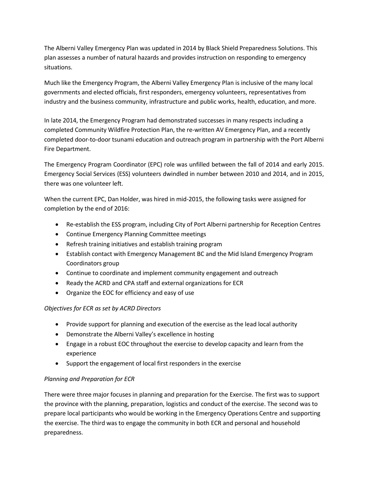The Alberni Valley Emergency Plan was updated in 2014 by Black Shield Preparedness Solutions. This plan assesses a number of natural hazards and provides instruction on responding to emergency situations.

Much like the Emergency Program, the Alberni Valley Emergency Plan is inclusive of the many local governments and elected officials, first responders, emergency volunteers, representatives from industry and the business community, infrastructure and public works, health, education, and more.

In late 2014, the Emergency Program had demonstrated successes in many respects including a completed Community Wildfire Protection Plan, the re-written AV Emergency Plan, and a recently completed door-to-door tsunami education and outreach program in partnership with the Port Alberni Fire Department.

The Emergency Program Coordinator (EPC) role was unfilled between the fall of 2014 and early 2015. Emergency Social Services (ESS) volunteers dwindled in number between 2010 and 2014, and in 2015, there was one volunteer left.

When the current EPC, Dan Holder, was hired in mid-2015, the following tasks were assigned for completion by the end of 2016:

- Re-establish the ESS program, including City of Port Alberni partnership for Reception Centres
- Continue Emergency Planning Committee meetings
- Refresh training initiatives and establish training program
- Establish contact with Emergency Management BC and the Mid Island Emergency Program Coordinators group
- Continue to coordinate and implement community engagement and outreach
- Ready the ACRD and CPA staff and external organizations for ECR
- Organize the EOC for efficiency and easy of use

#### *Objectives for ECR as set by ACRD Directors*

- Provide support for planning and execution of the exercise as the lead local authority
- Demonstrate the Alberni Valley's excellence in hosting
- Engage in a robust EOC throughout the exercise to develop capacity and learn from the experience
- Support the engagement of local first responders in the exercise

#### *Planning and Preparation for ECR*

There were three major focuses in planning and preparation for the Exercise. The first was to support the province with the planning, preparation, logistics and conduct of the exercise. The second was to prepare local participants who would be working in the Emergency Operations Centre and supporting the exercise. The third was to engage the community in both ECR and personal and household preparedness.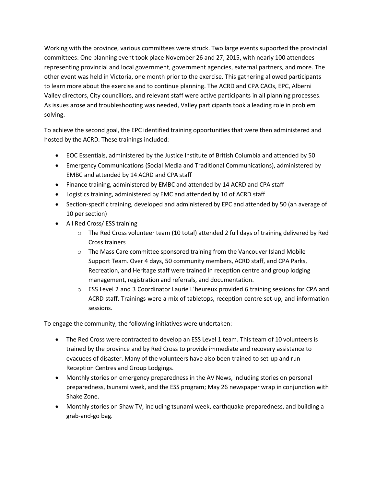Working with the province, various committees were struck. Two large events supported the provincial committees: One planning event took place November 26 and 27, 2015, with nearly 100 attendees representing provincial and local government, government agencies, external partners, and more. The other event was held in Victoria, one month prior to the exercise. This gathering allowed participants to learn more about the exercise and to continue planning. The ACRD and CPA CAOs, EPC, Alberni Valley directors, City councillors, and relevant staff were active participants in all planning processes. As issues arose and troubleshooting was needed, Valley participants took a leading role in problem solving.

To achieve the second goal, the EPC identified training opportunities that were then administered and hosted by the ACRD. These trainings included:

- EOC Essentials, administered by the Justice Institute of British Columbia and attended by 50
- Emergency Communications (Social Media and Traditional Communications), administered by EMBC and attended by 14 ACRD and CPA staff
- Finance training, administered by EMBC and attended by 14 ACRD and CPA staff
- Logistics training, administered by EMC and attended by 10 of ACRD staff
- Section-specific training, developed and administered by EPC and attended by 50 (an average of 10 per section)
- All Red Cross/ ESS training
	- o The Red Cross volunteer team (10 total) attended 2 full days of training delivered by Red Cross trainers
	- o The Mass Care committee sponsored training from the Vancouver Island Mobile Support Team. Over 4 days, 50 community members, ACRD staff, and CPA Parks, Recreation, and Heritage staff were trained in reception centre and group lodging management, registration and referrals, and documentation.
	- o ESS Level 2 and 3 Coordinator Laurie L'heureux provided 6 training sessions for CPA and ACRD staff. Trainings were a mix of tabletops, reception centre set-up, and information sessions.

To engage the community, the following initiatives were undertaken:

- The Red Cross were contracted to develop an ESS Level 1 team. This team of 10 volunteers is trained by the province and by Red Cross to provide immediate and recovery assistance to evacuees of disaster. Many of the volunteers have also been trained to set-up and run Reception Centres and Group Lodgings.
- Monthly stories on emergency preparedness in the AV News, including stories on personal preparedness, tsunami week, and the ESS program; May 26 newspaper wrap in conjunction with Shake Zone.
- Monthly stories on Shaw TV, including tsunami week, earthquake preparedness, and building a grab-and-go bag.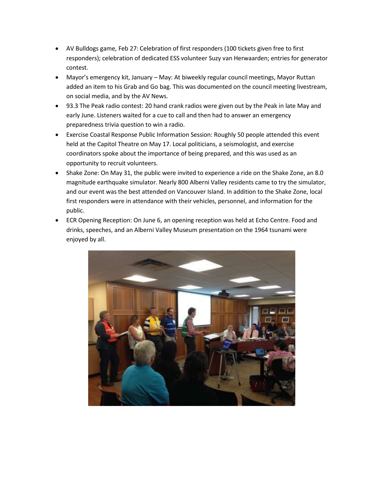- AV Bulldogs game, Feb 27: Celebration of first responders (100 tickets given free to first responders); celebration of dedicated ESS volunteer Suzy van Herwaarden; entries for generator contest.
- Mayor's emergency kit, January May: At biweekly regular council meetings, Mayor Ruttan added an item to his Grab and Go bag. This was documented on the council meeting livestream, on social media, and by the AV News.
- 93.3 The Peak radio contest: 20 hand crank radios were given out by the Peak in late May and early June. Listeners waited for a cue to call and then had to answer an emergency preparedness trivia question to win a radio.
- Exercise Coastal Response Public Information Session: Roughly 50 people attended this event held at the Capitol Theatre on May 17. Local politicians, a seismologist, and exercise coordinators spoke about the importance of being prepared, and this was used as an opportunity to recruit volunteers.
- Shake Zone: On May 31, the public were invited to experience a ride on the Shake Zone, an 8.0 magnitude earthquake simulator. Nearly 800 Alberni Valley residents came to try the simulator, and our event was the best attended on Vancouver Island. In addition to the Shake Zone, local first responders were in attendance with their vehicles, personnel, and information for the public.
- ECR Opening Reception: On June 6, an opening reception was held at Echo Centre. Food and drinks, speeches, and an Alberni Valley Museum presentation on the 1964 tsunami were enjoyed by all.

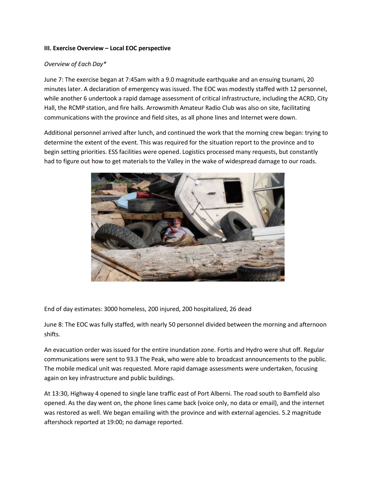#### **III. Exercise Overview – Local EOC perspective**

#### *Overview of Each Day\**

June 7: The exercise began at 7:45am with a 9.0 magnitude earthquake and an ensuing tsunami, 20 minutes later. A declaration of emergency was issued. The EOC was modestly staffed with 12 personnel, while another 6 undertook a rapid damage assessment of critical infrastructure, including the ACRD, City Hall, the RCMP station, and fire halls. Arrowsmith Amateur Radio Club was also on site, facilitating communications with the province and field sites, as all phone lines and Internet were down.

Additional personnel arrived after lunch, and continued the work that the morning crew began: trying to determine the extent of the event. This was required for the situation report to the province and to begin setting priorities. ESS facilities were opened. Logistics processed many requests, but constantly had to figure out how to get materials to the Valley in the wake of widespread damage to our roads.



End of day estimates: 3000 homeless, 200 injured, 200 hospitalized, 26 dead

June 8: The EOC was fully staffed, with nearly 50 personnel divided between the morning and afternoon shifts.

An evacuation order was issued for the entire inundation zone. Fortis and Hydro were shut off. Regular communications were sent to 93.3 The Peak, who were able to broadcast announcements to the public. The mobile medical unit was requested. More rapid damage assessments were undertaken, focusing again on key infrastructure and public buildings.

At 13:30, Highway 4 opened to single lane traffic east of Port Alberni. The road south to Bamfield also opened. As the day went on, the phone lines came back (voice only, no data or email), and the internet was restored as well. We began emailing with the province and with external agencies. 5.2 magnitude aftershock reported at 19:00; no damage reported.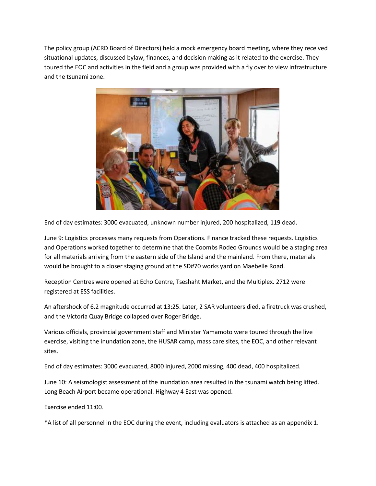The policy group (ACRD Board of Directors) held a mock emergency board meeting, where they received situational updates, discussed bylaw, finances, and decision making as it related to the exercise. They toured the EOC and activities in the field and a group was provided with a fly over to view infrastructure and the tsunami zone.



End of day estimates: 3000 evacuated, unknown number injured, 200 hospitalized, 119 dead.

June 9: Logistics processes many requests from Operations. Finance tracked these requests. Logistics and Operations worked together to determine that the Coombs Rodeo Grounds would be a staging area for all materials arriving from the eastern side of the Island and the mainland. From there, materials would be brought to a closer staging ground at the SD#70 works yard on Maebelle Road.

Reception Centres were opened at Echo Centre, Tseshaht Market, and the Multiplex. 2712 were registered at ESS facilities.

An aftershock of 6.2 magnitude occurred at 13:25. Later, 2 SAR volunteers died, a firetruck was crushed, and the Victoria Quay Bridge collapsed over Roger Bridge.

Various officials, provincial government staff and Minister Yamamoto were toured through the live exercise, visiting the inundation zone, the HUSAR camp, mass care sites, the EOC, and other relevant sites.

End of day estimates: 3000 evacuated, 8000 injured, 2000 missing, 400 dead, 400 hospitalized.

June 10: A seismologist assessment of the inundation area resulted in the tsunami watch being lifted. Long Beach Airport became operational. Highway 4 East was opened.

Exercise ended 11:00.

\*A list of all personnel in the EOC during the event, including evaluators is attached as an appendix 1.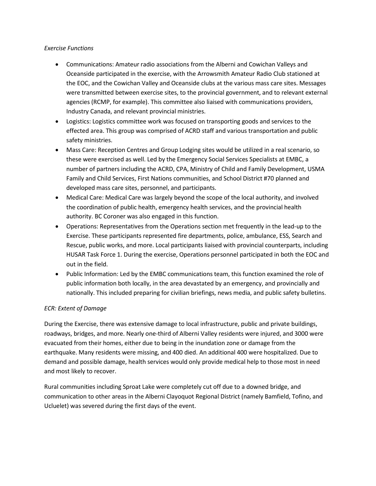#### *Exercise Functions*

- Communications: Amateur radio associations from the Alberni and Cowichan Valleys and Oceanside participated in the exercise, with the Arrowsmith Amateur Radio Club stationed at the EOC, and the Cowichan Valley and Oceanside clubs at the various mass care sites. Messages were transmitted between exercise sites, to the provincial government, and to relevant external agencies (RCMP, for example). This committee also liaised with communications providers, Industry Canada, and relevant provincial ministries.
- Logistics: Logistics committee work was focused on transporting goods and services to the effected area. This group was comprised of ACRD staff and various transportation and public safety ministries.
- Mass Care: Reception Centres and Group Lodging sites would be utilized in a real scenario, so these were exercised as well. Led by the Emergency Social Services Specialists at EMBC, a number of partners including the ACRD, CPA, Ministry of Child and Family Development, USMA Family and Child Services, First Nations communities, and School District #70 planned and developed mass care sites, personnel, and participants.
- Medical Care: Medical Care was largely beyond the scope of the local authority, and involved the coordination of public health, emergency health services, and the provincial health authority. BC Coroner was also engaged in this function.
- Operations: Representatives from the Operations section met frequently in the lead-up to the Exercise. These participants represented fire departments, police, ambulance, ESS, Search and Rescue, public works, and more. Local participants liaised with provincial counterparts, including HUSAR Task Force 1. During the exercise, Operations personnel participated in both the EOC and out in the field.
- Public Information: Led by the EMBC communications team, this function examined the role of public information both locally, in the area devastated by an emergency, and provincially and nationally. This included preparing for civilian briefings, news media, and public safety bulletins.

#### *ECR: Extent of Damage*

During the Exercise, there was extensive damage to local infrastructure, public and private buildings, roadways, bridges, and more. Nearly one-third of Alberni Valley residents were injured, and 3000 were evacuated from their homes, either due to being in the inundation zone or damage from the earthquake. Many residents were missing, and 400 died. An additional 400 were hospitalized. Due to demand and possible damage, health services would only provide medical help to those most in need and most likely to recover.

Rural communities including Sproat Lake were completely cut off due to a downed bridge, and communication to other areas in the Alberni Clayoquot Regional District (namely Bamfield, Tofino, and Ucluelet) was severed during the first days of the event.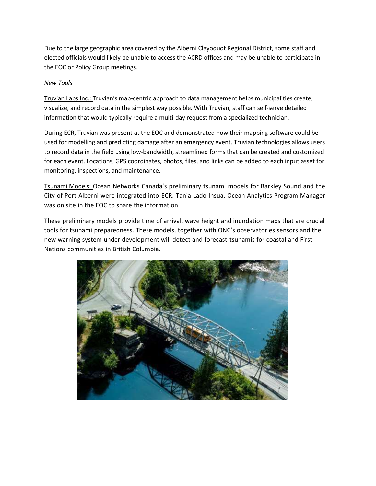Due to the large geographic area covered by the Alberni Clayoquot Regional District, some staff and elected officials would likely be unable to access the ACRD offices and may be unable to participate in the EOC or Policy Group meetings.

#### *New Tools*

Truvian Labs Inc.: Truvian's map-centric approach to data management helps municipalities create, visualize, and record data in the simplest way possible. With Truvian, staff can self-serve detailed information that would typically require a multi-day request from a specialized technician.

During ECR, Truvian was present at the EOC and demonstrated how their mapping software could be used for modelling and predicting damage after an emergency event. Truvian technologies allows users to record data in the field using low-bandwidth, streamlined forms that can be created and customized for each event. Locations, GPS coordinates, photos, files, and links can be added to each input asset for monitoring, inspections, and maintenance.

Tsunami Models: Ocean Networks Canada's preliminary tsunami models for Barkley Sound and the City of Port Alberni were integrated into ECR. Tania Lado Insua, Ocean Analytics Program Manager was on site in the EOC to share the information.

These preliminary models provide time of arrival, wave height and inundation maps that are crucial tools for tsunami preparedness. These models, together with ONC's observatories sensors and the new warning system under development will detect and forecast tsunamis for coastal and First Nations communities in British Columbia.

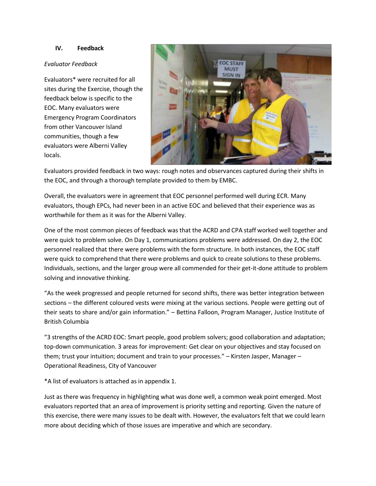#### **IV. Feedback**

#### *Evaluator Feedback*

Evaluators\* were recruited for all sites during the Exercise, though the feedback below is specific to the EOC. Many evaluators were Emergency Program Coordinators from other Vancouver Island communities, though a few evaluators were Alberni Valley locals.



Evaluators provided feedback in two ways: rough notes and observances captured during their shifts in the EOC, and through a thorough template provided to them by EMBC.

Overall, the evaluators were in agreement that EOC personnel performed well during ECR. Many evaluators, though EPCs, had never been in an active EOC and believed that their experience was as worthwhile for them as it was for the Alberni Valley.

One of the most common pieces of feedback was that the ACRD and CPA staff worked well together and were quick to problem solve. On Day 1, communications problems were addressed. On day 2, the EOC personnel realized that there were problems with the form structure. In both instances, the EOC staff were quick to comprehend that there were problems and quick to create solutions to these problems. Individuals, sections, and the larger group were all commended for their get-it-done attitude to problem solving and innovative thinking.

"As the week progressed and people returned for second shifts, there was better integration between sections – the different coloured vests were mixing at the various sections. People were getting out of their seats to share and/or gain information." – Bettina Falloon, Program Manager, Justice Institute of British Columbia

"3 strengths of the ACRD EOC: Smart people, good problem solvers; good collaboration and adaptation; top-down communication. 3 areas for improvement: Get clear on your objectives and stay focused on them; trust your intuition; document and train to your processes." – Kirsten Jasper, Manager – Operational Readiness, City of Vancouver

\*A list of evaluators is attached as in appendix 1.

Just as there was frequency in highlighting what was done well, a common weak point emerged. Most evaluators reported that an area of improvement is priority setting and reporting. Given the nature of this exercise, there were many issues to be dealt with. However, the evaluators felt that we could learn more about deciding which of those issues are imperative and which are secondary.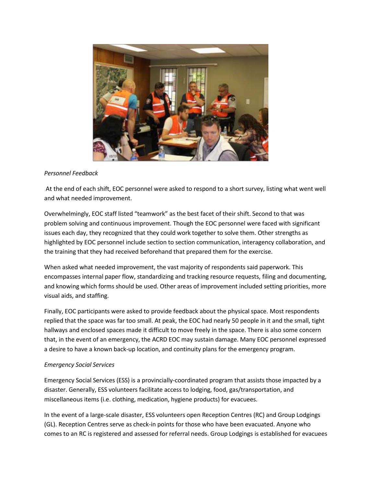

#### *Personnel Feedback*

At the end of each shift, EOC personnel were asked to respond to a short survey, listing what went well and what needed improvement.

Overwhelmingly, EOC staff listed "teamwork" as the best facet of their shift. Second to that was problem solving and continuous improvement. Though the EOC personnel were faced with significant issues each day, they recognized that they could work together to solve them. Other strengths as highlighted by EOC personnel include section to section communication, interagency collaboration, and the training that they had received beforehand that prepared them for the exercise.

When asked what needed improvement, the vast majority of respondents said paperwork. This encompasses internal paper flow, standardizing and tracking resource requests, filing and documenting, and knowing which forms should be used. Other areas of improvement included setting priorities, more visual aids, and staffing.

Finally, EOC participants were asked to provide feedback about the physical space. Most respondents replied that the space was far too small. At peak, the EOC had nearly 50 people in it and the small, tight hallways and enclosed spaces made it difficult to move freely in the space. There is also some concern that, in the event of an emergency, the ACRD EOC may sustain damage. Many EOC personnel expressed a desire to have a known back-up location, and continuity plans for the emergency program.

#### *Emergency Social Services*

Emergency Social Services (ESS) is a provincially-coordinated program that assists those impacted by a disaster. Generally, ESS volunteers facilitate access to lodging, food, gas/transportation, and miscellaneous items (i.e. clothing, medication, hygiene products) for evacuees.

In the event of a large-scale disaster, ESS volunteers open Reception Centres (RC) and Group Lodgings (GL). Reception Centres serve as check-in points for those who have been evacuated. Anyone who comes to an RC is registered and assessed for referral needs. Group Lodgings is established for evacuees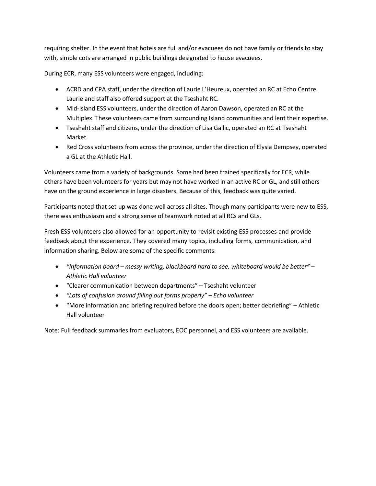requiring shelter. In the event that hotels are full and/or evacuees do not have family or friends to stay with, simple cots are arranged in public buildings designated to house evacuees.

During ECR, many ESS volunteers were engaged, including:

- ACRD and CPA staff, under the direction of Laurie L'Heureux, operated an RC at Echo Centre. Laurie and staff also offered support at the Tseshaht RC.
- Mid-Island ESS volunteers, under the direction of Aaron Dawson, operated an RC at the Multiplex. These volunteers came from surrounding Island communities and lent their expertise.
- Tseshaht staff and citizens, under the direction of Lisa Gallic, operated an RC at Tseshaht Market.
- Red Cross volunteers from across the province, under the direction of Elysia Dempsey, operated a GL at the Athletic Hall.

Volunteers came from a variety of backgrounds. Some had been trained specifically for ECR, while others have been volunteers for years but may not have worked in an active RC or GL, and still others have on the ground experience in large disasters. Because of this, feedback was quite varied.

Participants noted that set-up was done well across all sites. Though many participants were new to ESS, there was enthusiasm and a strong sense of teamwork noted at all RCs and GLs.

Fresh ESS volunteers also allowed for an opportunity to revisit existing ESS processes and provide feedback about the experience. They covered many topics, including forms, communication, and information sharing. Below are some of the specific comments:

- *"Information board – messy writing, blackboard hard to see, whiteboard would be better" – Athletic Hall volunteer*
- "Clearer communication between departments" Tseshaht volunteer
- *"Lots of confusion around filling out forms properly" – Echo volunteer*
- "More information and briefing required before the doors open; better debriefing" Athletic Hall volunteer

Note: Full feedback summaries from evaluators, EOC personnel, and ESS volunteers are available.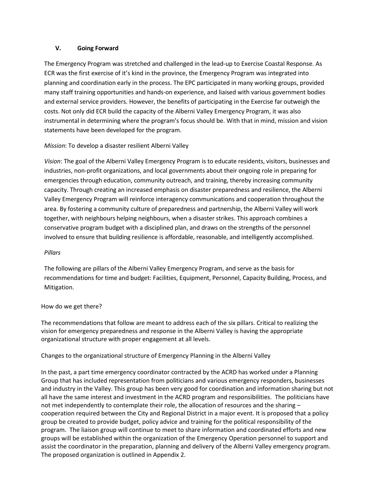#### **V. Going Forward**

The Emergency Program was stretched and challenged in the lead-up to Exercise Coastal Response. As ECR was the first exercise of it's kind in the province, the Emergency Program was integrated into planning and coordination early in the process. The EPC participated in many working groups, provided many staff training opportunities and hands-on experience, and liaised with various government bodies and external service providers. However, the benefits of participating in the Exercise far outweigh the costs. Not only did ECR build the capacity of the Alberni Valley Emergency Program, it was also instrumental in determining where the program's focus should be. With that in mind, mission and vision statements have been developed for the program.

#### *Mission*: To develop a disaster resilient Alberni Valley

*Vision*: The goal of the Alberni Valley Emergency Program is to educate residents, visitors, businesses and industries, non-profit organizations, and local governments about their ongoing role in preparing for emergencies through education, community outreach, and training, thereby increasing community capacity. Through creating an increased emphasis on disaster preparedness and resilience, the Alberni Valley Emergency Program will reinforce interagency communications and cooperation throughout the area. By fostering a community culture of preparedness and partnership, the Alberni Valley will work together, with neighbours helping neighbours, when a disaster strikes. This approach combines a conservative program budget with a disciplined plan, and draws on the strengths of the personnel involved to ensure that building resilience is affordable, reasonable, and intelligently accomplished.

#### *Pillars*

The following are pillars of the Alberni Valley Emergency Program, and serve as the basis for recommendations for time and budget: Facilities, Equipment, Personnel, Capacity Building, Process, and Mitigation.

#### How do we get there?

The recommendations that follow are meant to address each of the six pillars. Critical to realizing the vision for emergency preparedness and response in the Alberni Valley is having the appropriate organizational structure with proper engagement at all levels.

#### Changes to the organizational structure of Emergency Planning in the Alberni Valley

In the past, a part time emergency coordinator contracted by the ACRD has worked under a Planning Group that has included representation from politicians and various emergency responders, businesses and industry in the Valley. This group has been very good for coordination and information sharing but not all have the same interest and investment in the ACRD program and responsibilities. The politicians have not met independently to contemplate their role, the allocation of resources and the sharing cooperation required between the City and Regional District in a major event. It is proposed that a policy group be created to provide budget, policy advice and training for the political responsibility of the program. The liaison group will continue to meet to share information and coordinated efforts and new groups will be established within the organization of the Emergency Operation personnel to support and assist the coordinator in the preparation, planning and delivery of the Alberni Valley emergency program. The proposed organization is outlined in Appendix 2.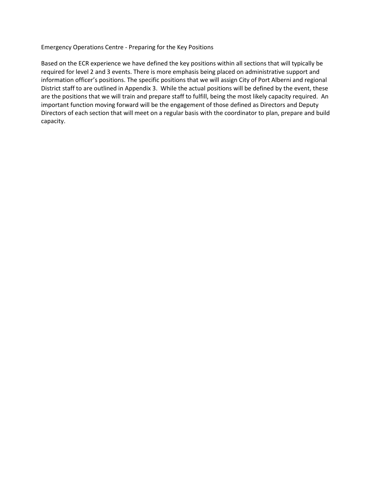#### Emergency Operations Centre - Preparing for the Key Positions

Based on the ECR experience we have defined the key positions within all sections that will typically be required for level 2 and 3 events. There is more emphasis being placed on administrative support and information officer's positions. The specific positions that we will assign City of Port Alberni and regional District staff to are outlined in Appendix 3. While the actual positions will be defined by the event, these are the positions that we will train and prepare staff to fulfill, being the most likely capacity required. An important function moving forward will be the engagement of those defined as Directors and Deputy Directors of each section that will meet on a regular basis with the coordinator to plan, prepare and build capacity.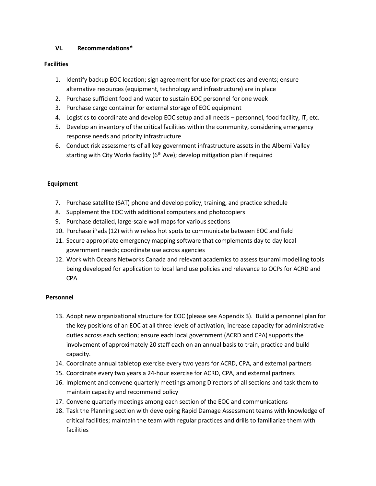#### **VI. Recommendations\***

#### **Facilities**

- 1. Identify backup EOC location; sign agreement for use for practices and events; ensure alternative resources (equipment, technology and infrastructure) are in place
- 2. Purchase sufficient food and water to sustain EOC personnel for one week
- 3. Purchase cargo container for external storage of EOC equipment
- 4. Logistics to coordinate and develop EOC setup and all needs personnel, food facility, IT, etc.
- 5. Develop an inventory of the critical facilities within the community, considering emergency response needs and priority infrastructure
- 6. Conduct risk assessments of all key government infrastructure assets in the Alberni Valley starting with City Works facility ( $6<sup>th</sup>$  Ave); develop mitigation plan if required

#### **Equipment**

- 7. Purchase satellite (SAT) phone and develop policy, training, and practice schedule
- 8. Supplement the EOC with additional computers and photocopiers
- 9. Purchase detailed, large-scale wall maps for various sections
- 10. Purchase iPads (12) with wireless hot spots to communicate between EOC and field
- 11. Secure appropriate emergency mapping software that complements day to day local government needs; coordinate use across agencies
- 12. Work with Oceans Networks Canada and relevant academics to assess tsunami modelling tools being developed for application to local land use policies and relevance to OCPs for ACRD and CPA

#### **Personnel**

- 13. Adopt new organizational structure for EOC (please see Appendix 3). Build a personnel plan for the key positions of an EOC at all three levels of activation; increase capacity for administrative duties across each section; ensure each local government (ACRD and CPA) supports the involvement of approximately 20 staff each on an annual basis to train, practice and build capacity.
- 14. Coordinate annual tabletop exercise every two years for ACRD, CPA, and external partners
- 15. Coordinate every two years a 24-hour exercise for ACRD, CPA, and external partners
- 16. Implement and convene quarterly meetings among Directors of all sections and task them to maintain capacity and recommend policy
- 17. Convene quarterly meetings among each section of the EOC and communications
- 18. Task the Planning section with developing Rapid Damage Assessment teams with knowledge of critical facilities; maintain the team with regular practices and drills to familiarize them with facilities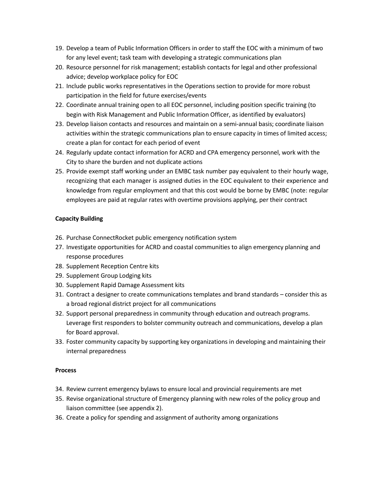- 19. Develop a team of Public Information Officers in order to staff the EOC with a minimum of two for any level event; task team with developing a strategic communications plan
- 20. Resource personnel for risk management; establish contacts for legal and other professional advice; develop workplace policy for EOC
- 21. Include public works representatives in the Operations section to provide for more robust participation in the field for future exercises/events
- 22. Coordinate annual training open to all EOC personnel, including position specific training (to begin with Risk Management and Public Information Officer, as identified by evaluators)
- 23. Develop liaison contacts and resources and maintain on a semi-annual basis; coordinate liaison activities within the strategic communications plan to ensure capacity in times of limited access; create a plan for contact for each period of event
- 24. Regularly update contact information for ACRD and CPA emergency personnel, work with the City to share the burden and not duplicate actions
- 25. Provide exempt staff working under an EMBC task number pay equivalent to their hourly wage, recognizing that each manager is assigned duties in the EOC equivalent to their experience and knowledge from regular employment and that this cost would be borne by EMBC (note: regular employees are paid at regular rates with overtime provisions applying, per their contract

#### **Capacity Building**

- 26. Purchase ConnectRocket public emergency notification system
- 27. Investigate opportunities for ACRD and coastal communities to align emergency planning and response procedures
- 28. Supplement Reception Centre kits
- 29. Supplement Group Lodging kits
- 30. Supplement Rapid Damage Assessment kits
- 31. Contract a designer to create communications templates and brand standards consider this as a broad regional district project for all communications
- 32. Support personal preparedness in community through education and outreach programs. Leverage first responders to bolster community outreach and communications, develop a plan for Board approval.
- 33. Foster community capacity by supporting key organizations in developing and maintaining their internal preparedness

#### **Process**

- 34. Review current emergency bylaws to ensure local and provincial requirements are met
- 35. Revise organizational structure of Emergency planning with new roles of the policy group and liaison committee (see appendix 2).
- 36. Create a policy for spending and assignment of authority among organizations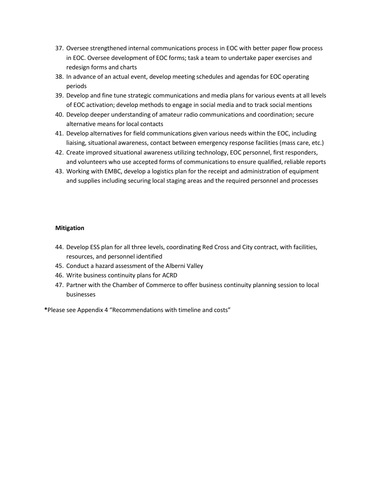- 37. Oversee strengthened internal communications process in EOC with better paper flow process in EOC. Oversee development of EOC forms; task a team to undertake paper exercises and redesign forms and charts
- 38. In advance of an actual event, develop meeting schedules and agendas for EOC operating periods
- 39. Develop and fine tune strategic communications and media plans for various events at all levels of EOC activation; develop methods to engage in social media and to track social mentions
- 40. Develop deeper understanding of amateur radio communications and coordination; secure alternative means for local contacts
- 41. Develop alternatives for field communications given various needs within the EOC, including liaising, situational awareness, contact between emergency response facilities (mass care, etc.)
- 42. Create improved situational awareness utilizing technology, EOC personnel, first responders, and volunteers who use accepted forms of communications to ensure qualified, reliable reports
- 43. Working with EMBC, develop a logistics plan for the receipt and administration of equipment and supplies including securing local staging areas and the required personnel and processes

#### **Mitigation**

- 44. Develop ESS plan for all three levels, coordinating Red Cross and City contract, with facilities, resources, and personnel identified
- 45. Conduct a hazard assessment of the Alberni Valley
- 46. Write business continuity plans for ACRD
- 47. Partner with the Chamber of Commerce to offer business continuity planning session to local businesses

**\***Please see Appendix 4 "Recommendations with timeline and costs"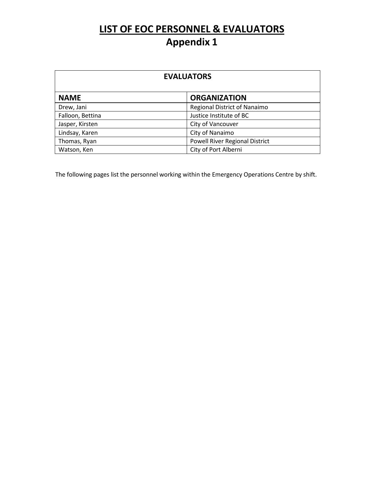## **LIST OF EOC PERSONNEL & EVALUATORS Appendix 1**

| <b>EVALUATORS</b> |                                     |  |  |
|-------------------|-------------------------------------|--|--|
| <b>NAME</b>       | <b>ORGANIZATION</b>                 |  |  |
| Drew, Jani        | <b>Regional District of Nanaimo</b> |  |  |
| Falloon, Bettina  | Justice Institute of BC             |  |  |
| Jasper, Kirsten   | City of Vancouver                   |  |  |
| Lindsay, Karen    | City of Nanaimo                     |  |  |
| Thomas, Ryan      | Powell River Regional District      |  |  |
| Watson, Ken       | City of Port Alberni                |  |  |

The following pages list the personnel working within the Emergency Operations Centre by shift.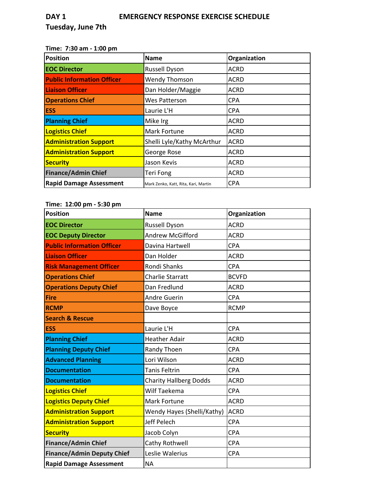#### **Time: 7:30 am ‐ 1:00 pm**

| <b>Position</b>                   | <b>Name</b>                          | Organization |
|-----------------------------------|--------------------------------------|--------------|
| <b>EOC Director</b>               | <b>Russell Dyson</b>                 | <b>ACRD</b>  |
| <b>Public Information Officer</b> | <b>Wendy Thomson</b>                 | <b>ACRD</b>  |
| <b>Liaison Officer</b>            | Dan Holder/Maggie                    | <b>ACRD</b>  |
| <b>Operations Chief</b>           | <b>Wes Patterson</b>                 | <b>CPA</b>   |
| <b>ESS</b>                        | Laurie L'H                           | <b>CPA</b>   |
| <b>Planning Chief</b>             | Mike Irg                             | <b>ACRD</b>  |
| <b>Logistics Chief</b>            | <b>Mark Fortune</b>                  | <b>ACRD</b>  |
| <b>Administration Support</b>     | Shelli Lyle/Kathy McArthur           | <b>ACRD</b>  |
| <b>Administration Support</b>     | George Rose                          | <b>ACRD</b>  |
| <b>Security</b>                   | Jason Kevis                          | <b>ACRD</b>  |
| <b>Finance/Admin Chief</b>        | Teri Fong                            | <b>ACRD</b>  |
| <b>Rapid Damage Assessment</b>    | Mark Zenko, Katt, Rita, Kari, Martin | <b>CPA</b>   |

### **Time: 12:00 pm ‐ 5:30 pm**

| <b>Position</b>                   | <b>Name</b>                   | Organization |
|-----------------------------------|-------------------------------|--------------|
| <b>EOC Director</b>               | <b>Russell Dyson</b>          | <b>ACRD</b>  |
| <b>EOC Deputy Director</b>        | <b>Andrew McGifford</b>       | <b>ACRD</b>  |
| <b>Public Information Officer</b> | Davina Hartwell               | <b>CPA</b>   |
| <b>Liaison Officer</b>            | Dan Holder                    | <b>ACRD</b>  |
| <b>Risk Management Officer</b>    | <b>Rondi Shanks</b>           | <b>CPA</b>   |
| <b>Operations Chief</b>           | <b>Charlie Starratt</b>       | <b>BCVFD</b> |
| <b>Operations Deputy Chief</b>    | Dan Fredlund                  | <b>ACRD</b>  |
| Fire                              | <b>Andre Guerin</b>           | <b>CPA</b>   |
| <b>RCMP</b>                       | Dave Boyce                    | <b>RCMP</b>  |
| <b>Search &amp; Rescue</b>        |                               |              |
| <b>ESS</b>                        | Laurie L'H                    | <b>CPA</b>   |
| <b>Planning Chief</b>             | <b>Heather Adair</b>          | <b>ACRD</b>  |
| <b>Planning Deputy Chief</b>      | Randy Thoen                   | <b>CPA</b>   |
| <b>Advanced Planning</b>          | Lori Wilson                   | <b>ACRD</b>  |
| <b>Documentation</b>              | <b>Tanis Feltrin</b>          | <b>CPA</b>   |
| <b>Documentation</b>              | <b>Charity Hallberg Dodds</b> | <b>ACRD</b>  |
| <b>Logistics Chief</b>            | Wilf Taekema                  | <b>CPA</b>   |
| <b>Logistics Deputy Chief</b>     | Mark Fortune                  | <b>ACRD</b>  |
| <b>Administration Support</b>     | Wendy Hayes (Shelli/Kathy)    | <b>ACRD</b>  |
| <b>Administration Support</b>     | Jeff Pelech                   | <b>CPA</b>   |
| <b>Security</b>                   | Jacob Colyn                   | <b>CPA</b>   |
| <b>Finance/Admin Chief</b>        | Cathy Rothwell                | <b>CPA</b>   |
| <b>Finance/Admin Deputy Chief</b> | Leslie Walerius               | <b>CPA</b>   |
| <b>Rapid Damage Assessment</b>    | <b>NA</b>                     |              |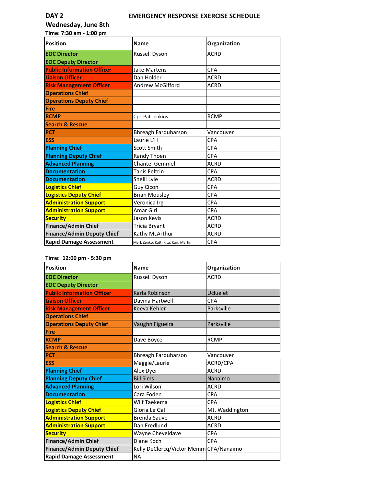#### **DAY 2 EMERGENCY RESPONSE EXERCISE SCHEDULE**

**Wednesday, June 8th Time: 7:30 am ‐ 1:00 pm**

Position **Name Organization Organization EOC Director** Russell Dyson **ACRD EOC Deputy Director Public Information Officer** Jake Martens CPA **Liaison Officer Dan Holder CONSISTENT ACRD Risk Management Officer** Andrew McGifford ACRD **Operations Chief Operations Deputy Chief Fire RCMP** RCMP Cpl. Pat Jenkins RCMP **Search & Rescue PCT Bhreagh Farquharson** Vancouver **ESS** Laurie L'H CPA **Planning Chief** CPA **Planning Deputy Chief** Randy Thoen CPA **Advanced Planning** Chantel Gemmel ACRD **Documentation Tanis Feltrin** CPA **Documentation** Shelli Lyle ACRD **Logistics Chief Chief Chief Chief Chief Chief Chief Chief Chief Chief Chief Chief Chief Chief Chief Chief Chief Logistics Deputy Chief CPA** Brian Mousley **CPA Administration Support** Veronica Irg Veronica IVER **Administration Support** Amar Giri Amar Giri CPA **Security Jason Kevis Jason Kevis Jason Kevis JACRD Finance/Admin Chief** Tricia Bryant ACRD **Finance/Admin Deputy Chief** Kathy McArthur ACRD **Rapid Damage Assessment** Mark Zenko, Katt, Rita, Kari, Martin **CPA** 

#### **Time: 12:00 pm ‐ 5:30 pm**

| <b>Position</b>                   | <b>Name</b>                            | Organization   |  |  |
|-----------------------------------|----------------------------------------|----------------|--|--|
| <b>EOC Director</b>               | Russell Dyson                          | <b>ACRD</b>    |  |  |
| <b>EOC Deputy Director</b>        |                                        |                |  |  |
| <b>Public Information Officer</b> | Karla Robinson                         | Ucluelet       |  |  |
| <b>Liaison Officer</b>            | Davina Hartwell                        | <b>CPA</b>     |  |  |
| <b>Risk Management Officer</b>    | Keeva Kehler                           | Parksville     |  |  |
| <b>Operations Chief</b>           |                                        |                |  |  |
| <b>Operations Deputy Chief</b>    | Vaughn Figueira                        | Parksville     |  |  |
| <b>Fire</b>                       |                                        |                |  |  |
| <b>RCMP</b>                       | Dave Boyce                             | <b>RCMP</b>    |  |  |
| <b>Search &amp; Rescue</b>        |                                        |                |  |  |
| <b>PCT</b>                        | Bhreagh Farquharson                    | Vancouver      |  |  |
| <b>ESS</b>                        | Maggie/Laurie                          | ACRD/CPA       |  |  |
| <b>Planning Chief</b>             | Alex Dyer                              | <b>ACRD</b>    |  |  |
| <b>Planning Deputy Chief</b>      | <b>Bill Sims</b>                       | Nanaimo        |  |  |
| <b>Advanced Planning</b>          | Lori Wilson                            | <b>ACRD</b>    |  |  |
| <b>Documentation</b>              | Cara Foden                             | <b>CPA</b>     |  |  |
| <b>Logistics Chief</b>            | Wilf Taekema                           | <b>CPA</b>     |  |  |
| <b>Logistics Deputy Chief</b>     | Gloria Le Gal                          | Mt. Waddington |  |  |
| <b>Administration Support</b>     | <b>Brenda Sauve</b>                    | <b>ACRD</b>    |  |  |
| <b>Administration Support</b>     | Dan Fredlund                           | <b>ACRD</b>    |  |  |
| <b>Security</b>                   | Wayne Cheveldave                       | <b>CPA</b>     |  |  |
| <b>Finance/Admin Chief</b>        | Diane Koch                             | <b>CPA</b>     |  |  |
| <b>Finance/Admin Deputy Chief</b> | Kelly DeClercq/Victor Memm CPA/Nanaimo |                |  |  |
| <b>Rapid Damage Assessment</b>    | <b>NA</b>                              |                |  |  |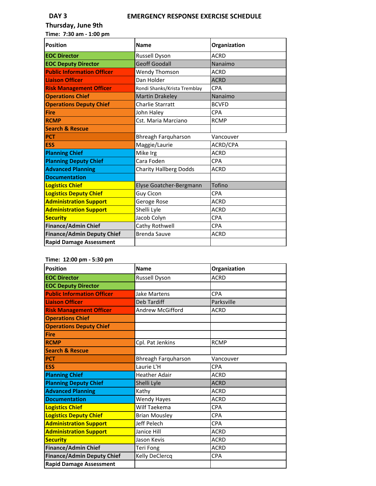#### **DAY 3 EMERGENCY RESPONSE EXERCISE SCHEDULE**

**Thursday, June 9th Time: 7:30 am ‐ 1:00 pm**

| Position                          | <b>Name</b>                   | Organization |  |
|-----------------------------------|-------------------------------|--------------|--|
| <b>EOC Director</b>               | Russell Dyson                 | <b>ACRD</b>  |  |
| <b>EOC Deputy Director</b>        | <b>Geoff Goodall</b>          | Nanaimo      |  |
| <b>Public Information Officer</b> | <b>Wendy Thomson</b>          | <b>ACRD</b>  |  |
| <b>Liaison Officer</b>            | Dan Holder                    | <b>ACRD</b>  |  |
| <b>Risk Management Officer</b>    | Rondi Shanks/Krista Tremblay  | CPA          |  |
| <b>Operations Chief</b>           | <b>Martin Drakeley</b>        | Nanaimo      |  |
| <b>Operations Deputy Chief</b>    | Charlie Starratt              | <b>BCVFD</b> |  |
| Fire                              | John Haley                    | <b>CPA</b>   |  |
| <b>RCMP</b>                       | Cst. Maria Marciano           | <b>RCMP</b>  |  |
| <b>Search &amp; Rescue</b>        |                               |              |  |
| <b>PCT</b>                        | Bhreagh Farquharson           | Vancouver    |  |
| <b>ESS</b>                        | Maggie/Laurie                 | ACRD/CPA     |  |
| <b>Planning Chief</b>             | Mike Irg                      | <b>ACRD</b>  |  |
| <b>Planning Deputy Chief</b>      | Cara Foden                    | CPA          |  |
| <b>Advanced Planning</b>          | <b>Charity Hallberg Dodds</b> | <b>ACRD</b>  |  |
| <b>Documentation</b>              |                               |              |  |
| <b>Logistics Chief</b>            | Elyse Goatcher-Bergmann       | Tofino       |  |
| <b>Logistics Deputy Chief</b>     | Guy Cicon                     | <b>CPA</b>   |  |
| <b>Administration Support</b>     | Geroge Rose                   | <b>ACRD</b>  |  |
| <b>Administration Support</b>     | Shelli Lyle                   | <b>ACRD</b>  |  |
| <b>Security</b>                   | Jacob Colyn                   | <b>CPA</b>   |  |
| <b>Finance/Admin Chief</b>        | Cathy Rothwell                | CPA          |  |
| <b>Finance/Admin Deputy Chief</b> | <b>Brenda Sauve</b>           | <b>ACRD</b>  |  |
| <b>Rapid Damage Assessment</b>    |                               |              |  |

#### **Time: 12:00 pm ‐ 5:30 pm**

| <b>Position</b>                   | <b>Name</b>          | Organization |
|-----------------------------------|----------------------|--------------|
| <b>EOC Director</b>               | <b>Russell Dyson</b> | <b>ACRD</b>  |
| <b>EOC Deputy Director</b>        |                      |              |
| <b>Public Information Officer</b> | <b>Jake Martens</b>  | CPA          |
| <b>Liaison Officer</b>            | <b>Deb Tardiff</b>   | Parksville   |
| <b>Risk Management Officer</b>    | Andrew McGifford     | <b>ACRD</b>  |
| <b>Operations Chief</b>           |                      |              |
| <b>Operations Deputy Chief</b>    |                      |              |
| <b>Fire</b>                       |                      |              |
| <b>RCMP</b>                       | Cpl. Pat Jenkins     | <b>RCMP</b>  |
| <b>Search &amp; Rescue</b>        |                      |              |
| <b>PCT</b>                        | Bhreagh Farquharson  | Vancouver    |
| <b>ESS</b>                        | Laurie L'H           | CPA          |
| <b>Planning Chief</b>             | <b>Heather Adair</b> | <b>ACRD</b>  |
| <b>Planning Deputy Chief</b>      | Shelli Lyle          | <b>ACRD</b>  |
| <b>Advanced Planning</b>          | Kathy                | <b>ACRD</b>  |
| <b>Documentation</b>              | <b>Wendy Hayes</b>   | <b>ACRD</b>  |
| <b>Logistics Chief</b>            | Wilf Taekema         | CPA          |
| <b>Logistics Deputy Chief</b>     | <b>Brian Mousley</b> | <b>CPA</b>   |
| <b>Administration Support</b>     | Jeff Pelech          | <b>CPA</b>   |
| <b>Administration Support</b>     | Janice Hill          | <b>ACRD</b>  |
| <b>Security</b>                   | Jason Kevis          | <b>ACRD</b>  |
| <b>Finance/Admin Chief</b>        | Teri Fong            | <b>ACRD</b>  |
| <b>Finance/Admin Deputy Chief</b> | Kelly DeClercq       | <b>CPA</b>   |
| <b>Rapid Damage Assessment</b>    |                      |              |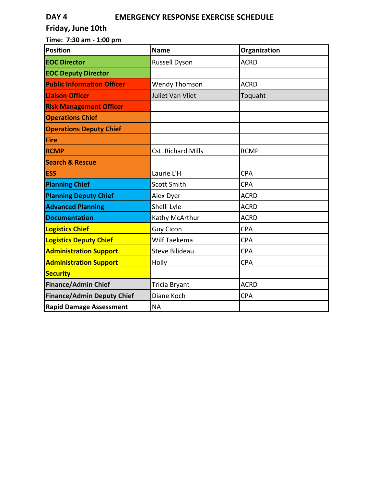### **DAY 4 EMERGENCY RESPONSE EXERCISE SCHEDULE**

### **Friday, June 10th**

**Time: 7:30 am ‐ 1:00 pm**

| <b>Position</b>                   | <b>Name</b>               | Organization |
|-----------------------------------|---------------------------|--------------|
| <b>EOC Director</b>               | <b>Russell Dyson</b>      | <b>ACRD</b>  |
| <b>EOC Deputy Director</b>        |                           |              |
| <b>Public Information Officer</b> | <b>Wendy Thomson</b>      | <b>ACRD</b>  |
| <b>Liaison Officer</b>            | Juliet Van Vliet          | Toquaht      |
| <b>Risk Management Officer</b>    |                           |              |
| <b>Operations Chief</b>           |                           |              |
| <b>Operations Deputy Chief</b>    |                           |              |
| <b>Fire</b>                       |                           |              |
| <b>RCMP</b>                       | <b>Cst. Richard Mills</b> | <b>RCMP</b>  |
| <b>Search &amp; Rescue</b>        |                           |              |
| <b>ESS</b>                        | Laurie L'H                | <b>CPA</b>   |
| <b>Planning Chief</b>             | <b>Scott Smith</b>        | <b>CPA</b>   |
| <b>Planning Deputy Chief</b>      | Alex Dyer                 | <b>ACRD</b>  |
| <b>Advanced Planning</b>          | Shelli Lyle               | <b>ACRD</b>  |
| <b>Documentation</b>              | Kathy McArthur            | <b>ACRD</b>  |
| <b>Logistics Chief</b>            | <b>Guy Cicon</b>          | <b>CPA</b>   |
| <b>Logistics Deputy Chief</b>     | Wilf Taekema              | <b>CPA</b>   |
| <b>Administration Support</b>     | <b>Steve Bilideau</b>     | <b>CPA</b>   |
| <b>Administration Support</b>     | Holly                     | <b>CPA</b>   |
| <b>Security</b>                   |                           |              |
| <b>Finance/Admin Chief</b>        | Tricia Bryant             | <b>ACRD</b>  |
| <b>Finance/Admin Deputy Chief</b> | Diane Koch                | <b>CPA</b>   |
| <b>Rapid Damage Assessment</b>    | <b>NA</b>                 |              |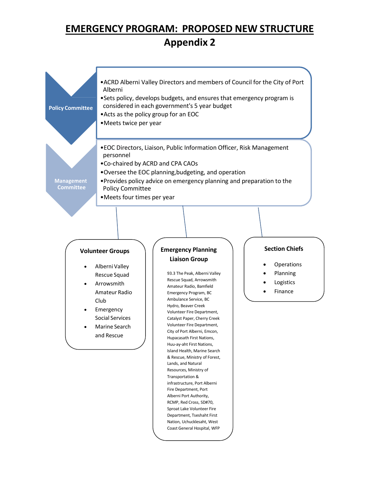### **EMERGENCY PROGRAM: PROPOSED NEW STRUCTURE Appendix 2**



Fire Department, Port Alberni Port Authority, RCMP, Red Cross, SD#70, Sproat Lake Volunteer Fire Department, Tseshaht First Nation, Uchucklesaht, West Coast General Hospital, WFP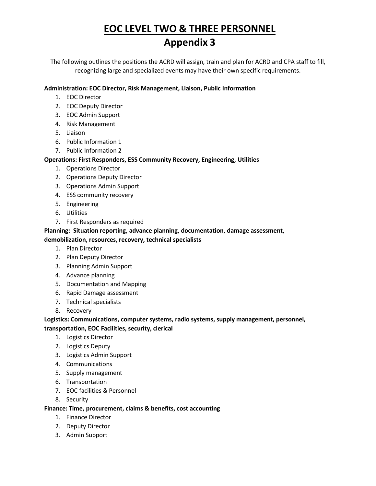# **EOC LEVEL TWO & THREE PERSONNEL Appendix 3**

The following outlines the positions the ACRD will assign, train and plan for ACRD and CPA staff to fill, recognizing large and specialized events may have their own specific requirements.

#### **Administration: EOC Director, Risk Management, Liaison, Public Information**

- 1. EOC Director
- 2. EOC Deputy Director
- 3. EOC Admin Support
- 4. Risk Management
- 5. Liaison
- 6. Public Information 1
- 7. Public Information 2

#### **Operations: First Responders, ESS Community Recovery, Engineering, Utilities**

- 1. Operations Director
- 2. Operations Deputy Director
- 3. Operations Admin Support
- 4. ESS community recovery
- 5. Engineering
- 6. Utilities
- 7. First Responders as required

#### **Planning: Situation reporting, advance planning, documentation, damage assessment,**

#### **demobilization, resources, recovery, technical specialists**

- 1. Plan Director
- 2. Plan Deputy Director
- 3. Planning Admin Support
- 4. Advance planning
- 5. Documentation and Mapping
- 6. Rapid Damage assessment
- 7. Technical specialists
- 8. Recovery

#### **Logistics: Communications, computer systems, radio systems, supply management, personnel, transportation, EOC Facilities, security, clerical**

- 1. Logistics Director
- 2. Logistics Deputy
- 3. Logistics Admin Support
- 4. Communications
- 5. Supply management
- 6. Transportation
- 7. EOC facilities & Personnel
- 8. Security

#### **Finance: Time, procurement, claims & benefits, cost accounting**

- 1. Finance Director
- 2. Deputy Director
- 3. Admin Support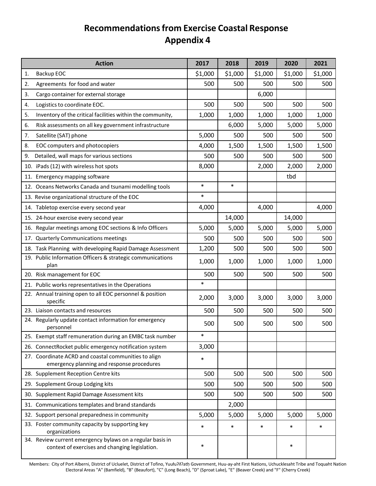### **Recommendationsfrom Exercise Coastal Response Appendix 4**

| <b>Action</b>                                                                                               | 2017    | 2018    | 2019    | 2020    | 2021    |
|-------------------------------------------------------------------------------------------------------------|---------|---------|---------|---------|---------|
| Backup EOC<br>1.                                                                                            | \$1,000 | \$1,000 | \$1,000 | \$1,000 | \$1,000 |
| Agreements for food and water<br>2.                                                                         | 500     | 500     | 500     | 500     | 500     |
| 3.<br>Cargo container for external storage                                                                  |         |         | 6,000   |         |         |
| Logistics to coordinate EOC.<br>4.                                                                          | 500     | 500     | 500     | 500     | 500     |
| Inventory of the critical facilities within the community,<br>5.                                            | 1,000   | 1,000   | 1,000   | 1,000   | 1,000   |
| Risk assessments on all key government infrastructure<br>6.                                                 |         | 6,000   | 5,000   | 5,000   | 5,000   |
| 7.<br>Satellite (SAT) phone                                                                                 | 5,000   | 500     | 500     | 500     | 500     |
| 8.<br>EOC computers and photocopiers                                                                        | 4,000   | 1,500   | 1,500   | 1,500   | 1,500   |
| Detailed, wall maps for various sections<br>9.                                                              | 500     | 500     | 500     | 500     | 500     |
| 10. iPads (12) with wireless hot spots                                                                      | 8,000   |         | 2,000   | 2,000   | 2,000   |
| 11. Emergency mapping software                                                                              |         |         |         | tbd     |         |
| 12. Oceans Networks Canada and tsunami modelling tools                                                      | $\ast$  | $\ast$  |         |         |         |
| 13. Revise organizational structure of the EOC                                                              | $\ast$  |         |         |         |         |
| 14. Tabletop exercise every second year                                                                     | 4,000   |         | 4,000   |         | 4,000   |
| 15. 24-hour exercise every second year                                                                      |         | 14,000  |         | 14,000  |         |
| 16. Regular meetings among EOC sections & Info Officers                                                     | 5,000   | 5,000   | 5,000   | 5,000   | 5,000   |
| 17. Quarterly Communications meetings                                                                       | 500     | 500     | 500     | 500     | 500     |
| 18. Task Planning with developing Rapid Damage Assessment                                                   | 1,200   | 500     | 500     | 500     | 500     |
| 19. Public Information Officers & strategic communications<br>plan                                          | 1,000   | 1,000   | 1,000   | 1,000   | 1,000   |
| 20. Risk management for EOC                                                                                 | 500     | 500     | 500     | 500     | 500     |
| 21. Public works representatives in the Operations                                                          | $\ast$  |         |         |         |         |
| 22. Annual training open to all EOC personnel & position<br>specific                                        | 2,000   | 3,000   | 3,000   | 3,000   | 3,000   |
| 23. Liaison contacts and resources                                                                          | 500     | 500     | 500     | 500     | 500     |
| 24. Regularly update contact information for emergency<br>personnel                                         | 500     | 500     | 500     | 500     | 500     |
| 25. Exempt staff remuneration during an EMBC task number                                                    | $\ast$  |         |         |         |         |
| 26. ConnectRocket public emergency notification system                                                      | 3,000   |         |         |         |         |
| 27. Coordinate ACRD and coastal communities to align<br>emergency planning and response procedures          | $\ast$  |         |         |         |         |
| 28. Supplement Reception Centre kits                                                                        | 500     | 500     | 500     | 500     | 500     |
| 29. Supplement Group Lodging kits                                                                           | 500     | 500     | 500     | 500     | 500     |
| 30. Supplement Rapid Damage Assessment kits                                                                 | 500     | 500     | 500     | 500     | 500     |
| 31. Communications templates and brand standards                                                            |         | 2,000   |         |         |         |
| 32. Support personal preparedness in community                                                              | 5,000   | 5,000   | 5,000   | 5,000   | 5,000   |
| 33. Foster community capacity by supporting key<br>organizations                                            | $\ast$  | $\ast$  | $\ast$  | $\ast$  | $\ast$  |
| 34. Review current emergency bylaws on a regular basis in<br>context of exercises and changing legislation. | $\ast$  |         |         | $\ast$  |         |

Members: City of Port Alberni, District of Ucluelet, District of Tofino, Yuułuʔiłʔatḥ Government, Huu-ay-aht First Nations, Uchucklesaht Tribe and Toquaht Nation Electoral Areas "A" (Bamfield), "B" (Beaufort), "C" (Long Beach), "D" (Sproat Lake), "E" (Beaver Creek) and "F" (Cherry Creek)